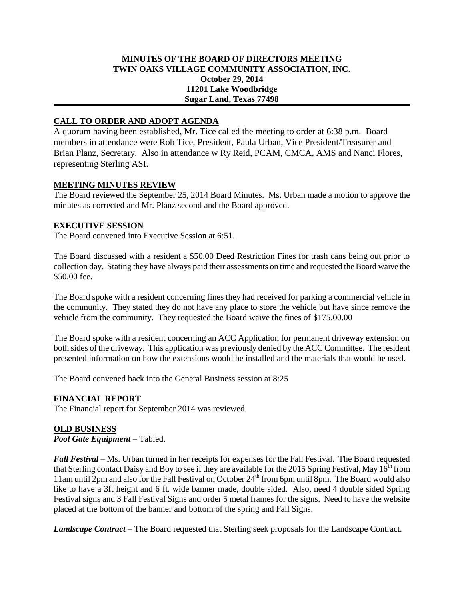## **MINUTES OF THE BOARD OF DIRECTORS MEETING TWIN OAKS VILLAGE COMMUNITY ASSOCIATION, INC. October 29, 2014 11201 Lake Woodbridge Sugar Land, Texas 77498**

# **CALL TO ORDER AND ADOPT AGENDA**

A quorum having been established, Mr. Tice called the meeting to order at 6:38 p.m. Board members in attendance were Rob Tice, President, Paula Urban, Vice President/Treasurer and Brian Planz, Secretary. Also in attendance w Ry Reid, PCAM, CMCA, AMS and Nanci Flores, representing Sterling ASI.

## **MEETING MINUTES REVIEW**

The Board reviewed the September 25, 2014 Board Minutes. Ms. Urban made a motion to approve the minutes as corrected and Mr. Planz second and the Board approved.

### **EXECUTIVE SESSION**

The Board convened into Executive Session at 6:51.

The Board discussed with a resident a \$50.00 Deed Restriction Fines for trash cans being out prior to collection day. Stating they have always paid their assessments on time and requested the Board waive the \$50.00 fee.

The Board spoke with a resident concerning fines they had received for parking a commercial vehicle in the community. They stated they do not have any place to store the vehicle but have since remove the vehicle from the community. They requested the Board waive the fines of \$175.00.00

The Board spoke with a resident concerning an ACC Application for permanent driveway extension on both sides of the driveway. This application was previously denied by the ACC Committee. The resident presented information on how the extensions would be installed and the materials that would be used.

The Board convened back into the General Business session at 8:25

#### **FINANCIAL REPORT**

The Financial report for September 2014 was reviewed.

## **OLD BUSINESS**

*Pool Gate Equipment* – Tabled.

*Fall Festival* – Ms. Urban turned in her receipts for expenses for the Fall Festival. The Board requested that Sterling contact Daisy and Boy to see if they are available for the 2015 Spring Festival, May  $16^{th}$  from 11am until 2pm and also for the Fall Festival on October  $24<sup>th</sup>$  from 6pm until 8pm. The Board would also like to have a 3ft height and 6 ft. wide banner made, double sided. Also, need 4 double sided Spring Festival signs and 3 Fall Festival Signs and order 5 metal frames for the signs. Need to have the website placed at the bottom of the banner and bottom of the spring and Fall Signs.

*Landscape Contract* – The Board requested that Sterling seek proposals for the Landscape Contract.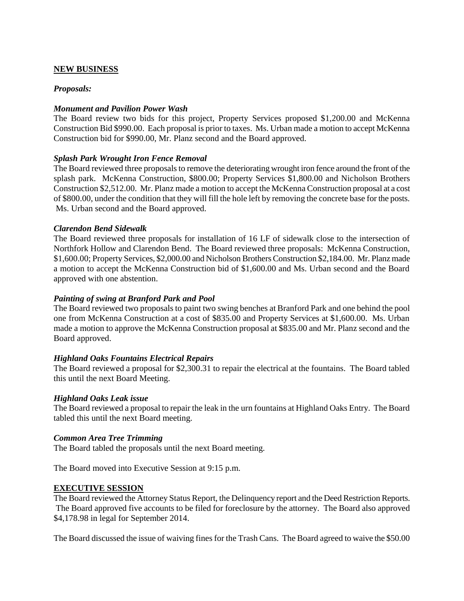## **NEW BUSINESS**

### *Proposals:*

### *Monument and Pavilion Power Wash*

The Board review two bids for this project, Property Services proposed \$1,200.00 and McKenna Construction Bid \$990.00. Each proposal is prior to taxes. Ms. Urban made a motion to accept McKenna Construction bid for \$990.00, Mr. Planz second and the Board approved.

### *Splash Park Wrought Iron Fence Removal*

The Board reviewed three proposals to remove the deteriorating wrought iron fence around the front of the splash park. McKenna Construction, \$800.00; Property Services \$1,800.00 and Nicholson Brothers Construction \$2,512.00. Mr. Planz made a motion to accept the McKenna Construction proposal at a cost of \$800.00, under the condition that they will fill the hole left by removing the concrete base for the posts. Ms. Urban second and the Board approved.

#### *Clarendon Bend Sidewalk*

The Board reviewed three proposals for installation of 16 LF of sidewalk close to the intersection of Northfork Hollow and Clarendon Bend. The Board reviewed three proposals: McKenna Construction, \$1,600.00; Property Services, \$2,000.00 and Nicholson Brothers Construction \$2,184.00. Mr. Planz made a motion to accept the McKenna Construction bid of \$1,600.00 and Ms. Urban second and the Board approved with one abstention.

### *Painting of swing at Branford Park and Pool*

The Board reviewed two proposals to paint two swing benches at Branford Park and one behind the pool one from McKenna Construction at a cost of \$835.00 and Property Services at \$1,600.00. Ms. Urban made a motion to approve the McKenna Construction proposal at \$835.00 and Mr. Planz second and the Board approved.

## *Highland Oaks Fountains Electrical Repairs*

The Board reviewed a proposal for \$2,300.31 to repair the electrical at the fountains. The Board tabled this until the next Board Meeting.

#### *Highland Oaks Leak issue*

The Board reviewed a proposal to repair the leak in the urn fountains at Highland Oaks Entry. The Board tabled this until the next Board meeting.

#### *Common Area Tree Trimming*

The Board tabled the proposals until the next Board meeting.

The Board moved into Executive Session at 9:15 p.m.

#### **EXECUTIVE SESSION**

The Board reviewed the Attorney Status Report, the Delinquency report and the Deed Restriction Reports. The Board approved five accounts to be filed for foreclosure by the attorney. The Board also approved \$4,178.98 in legal for September 2014.

The Board discussed the issue of waiving fines for the Trash Cans. The Board agreed to waive the \$50.00